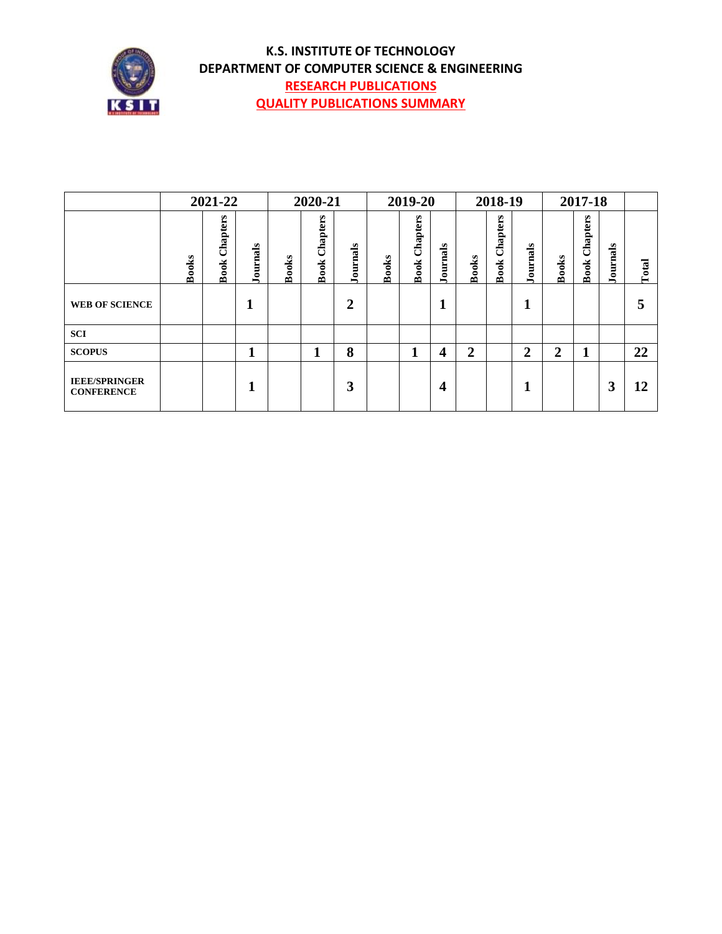

#### **K.S. INSTITUTE OF TECHNOLOGY DEPARTMENT OF COMPUTER SCIENCE & ENGINEERING RESEARCH PUBLICATIONS QUALITY PUBLICATIONS SUMMARY**

|                                           |              | 2021-22                 |          |       | 2020-21          |          |              | 2019-20                 |          |                  | 2018-19                 |                |                | 2017-18                 |              |       |
|-------------------------------------------|--------------|-------------------------|----------|-------|------------------|----------|--------------|-------------------------|----------|------------------|-------------------------|----------------|----------------|-------------------------|--------------|-------|
|                                           | <b>Books</b> | Chapters<br><b>Book</b> | Journals | Books | Chapters<br>Book | Journals | <b>Books</b> | Chapters<br><b>Book</b> | Journals | <b>Books</b>     | Chapters<br><b>Book</b> | Journals       | <b>Books</b>   | Chapters<br><b>Book</b> | ournals<br>ー | Total |
| <b>WEB OF SCIENCE</b>                     |              |                         |          |       |                  | 2        |              |                         |          |                  |                         | 1              |                |                         |              | 5     |
| <b>SCI</b>                                |              |                         |          |       |                  |          |              |                         |          |                  |                         |                |                |                         |              |       |
| <b>SCOPUS</b>                             |              |                         | ×        |       |                  | 8        |              | 1<br>п                  | 4        | $\boldsymbol{2}$ |                         | $\overline{2}$ | $\overline{2}$ | 1                       |              | 22    |
| <b>IEEE/SPRINGER</b><br><b>CONFERENCE</b> |              |                         |          |       |                  | 3        |              |                         | 4        |                  |                         | 1              |                |                         | 3            | 12    |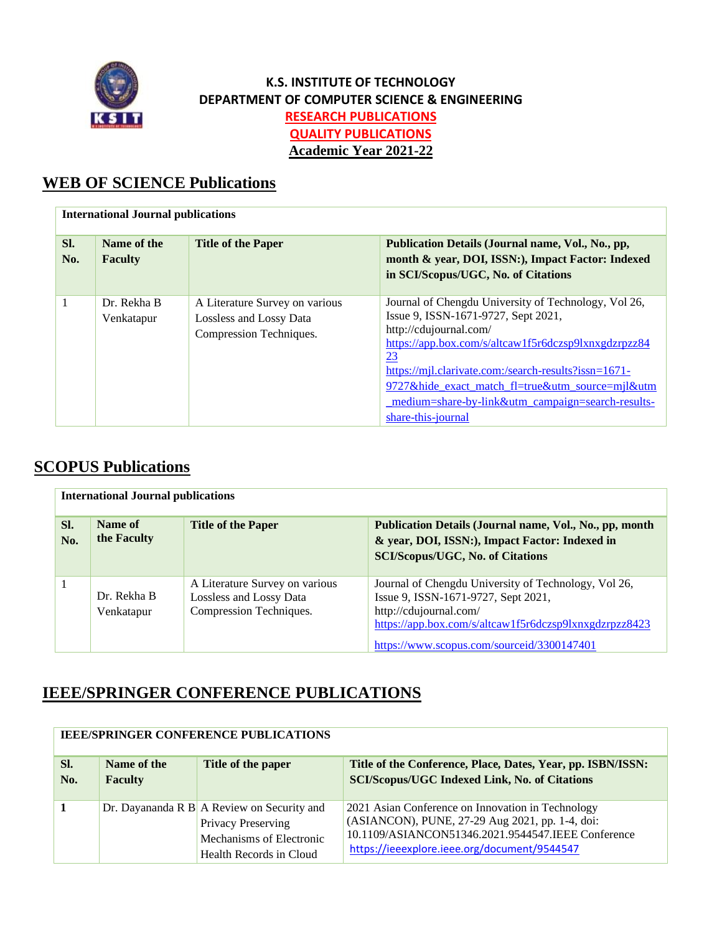

#### **K.S. INSTITUTE OF TECHNOLOGY DEPARTMENT OF COMPUTER SCIENCE & ENGINEERING RESEARCH PUBLICATIONS QUALITY PUBLICATIONS Academic Year 2021-22**

## **WEB OF SCIENCE Publications**

|            | <b>International Journal publications</b> |                                                                                      |                                                                                                                                                                                                                                                                                                                                                                                   |  |  |
|------------|-------------------------------------------|--------------------------------------------------------------------------------------|-----------------------------------------------------------------------------------------------------------------------------------------------------------------------------------------------------------------------------------------------------------------------------------------------------------------------------------------------------------------------------------|--|--|
| SI.<br>No. | Name of the<br><b>Faculty</b>             | <b>Title of the Paper</b>                                                            | Publication Details (Journal name, Vol., No., pp,<br>month & year, DOI, ISSN:), Impact Factor: Indexed<br>in SCI/Scopus/UGC, No. of Citations                                                                                                                                                                                                                                     |  |  |
|            | Dr. Rekha B<br>Venkatapur                 | A Literature Survey on various<br>Lossless and Lossy Data<br>Compression Techniques. | Journal of Chengdu University of Technology, Vol 26,<br>Issue 9, ISSN-1671-9727, Sept 2021,<br>http://cdujournal.com/<br>https://app.box.com/s/altcaw1f5r6dczsp9lxnxgdzrpzz84<br><u>23</u><br>https://mjl.clarivate.com:/search-results?issn=1671-<br>9727&hide exact match fl=true&utm source=mjl&utm<br>medium=share-by-link&utm_campaign=search-results-<br>share-this-journal |  |  |

## **SCOPUS Publications**

|            | <b>International Journal publications</b> |                                                                                      |                                                                                                                                                                                                                               |  |  |
|------------|-------------------------------------------|--------------------------------------------------------------------------------------|-------------------------------------------------------------------------------------------------------------------------------------------------------------------------------------------------------------------------------|--|--|
| SI.<br>No. | Name of<br>the Faculty                    | <b>Title of the Paper</b>                                                            | Publication Details (Journal name, Vol., No., pp, month<br>& year, DOI, ISSN:), Impact Factor: Indexed in<br><b>SCI/Scopus/UGC, No. of Citations</b>                                                                          |  |  |
|            | Dr. Rekha B<br>Venkatapur                 | A Literature Survey on various<br>Lossless and Lossy Data<br>Compression Techniques. | Journal of Chengdu University of Technology, Vol 26,<br>Issue 9, ISSN-1671-9727, Sept 2021,<br>http://cdujournal.com/<br>https://app.box.com/s/altcaw1f5r6dczsp9lxnxgdzrpzz8423<br>https://www.scopus.com/sourceid/3300147401 |  |  |

## **IEEE/SPRINGER CONFERENCE PUBLICATIONS**

|            | IEEE/SFRINGER CONFERENCE FOBLICATIONS |                                                                                                                                      |                                                                                                                                                                                                            |  |  |  |
|------------|---------------------------------------|--------------------------------------------------------------------------------------------------------------------------------------|------------------------------------------------------------------------------------------------------------------------------------------------------------------------------------------------------------|--|--|--|
| SI.<br>No. | Name of the<br><b>Faculty</b>         | Title of the paper                                                                                                                   | Title of the Conference, Place, Dates, Year, pp. ISBN/ISSN:<br><b>SCI/Scopus/UGC Indexed Link, No. of Citations</b>                                                                                        |  |  |  |
|            |                                       | Dr. Dayananda R B $\overline{A}$ Review on Security and<br>Privacy Preserving<br>Mechanisms of Electronic<br>Health Records in Cloud | 2021 Asian Conference on Innovation in Technology<br>(ASIANCON), PUNE, 27-29 Aug 2021, pp. 1-4, doi:<br>10.1109/ASIANCON51346.2021.9544547.IEEE Conference<br>https://ieeexplore.ieee.org/document/9544547 |  |  |  |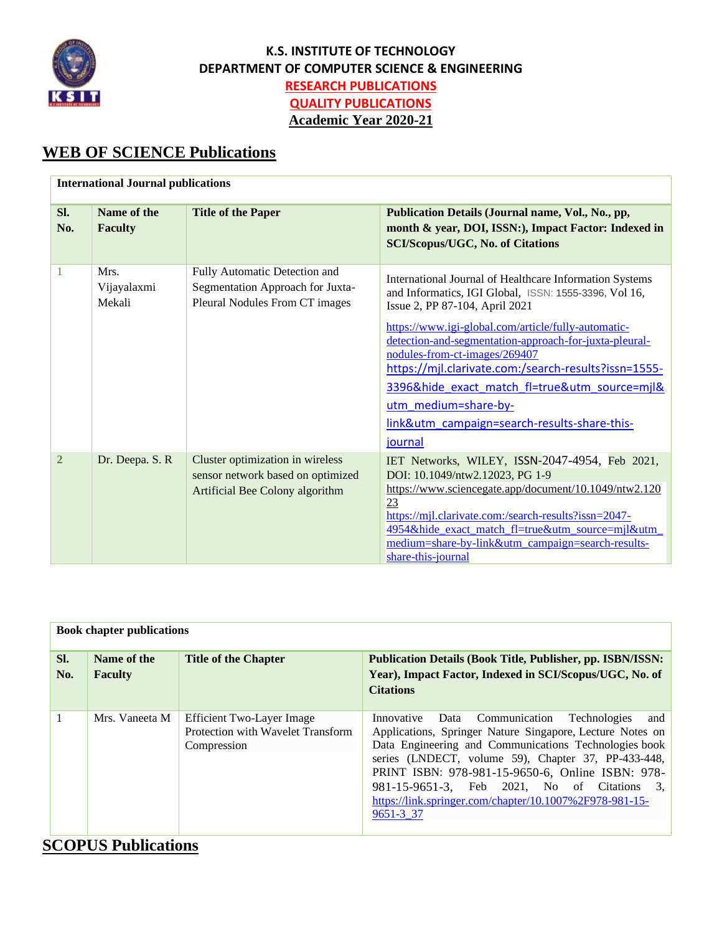

Ë

#### **K.S. INSTITUTE OF TECHNOLOGY DEPARTMENT OF COMPUTER SCIENCE & ENGINEERING RESEARCH PUBLICATIONS QUALITY PUBLICATIONS Academic Year 2020-21**

# **WEB OF SCIENCE Publications**

|                | <b>International Journal publications</b> |                                                                                                          |                                                                                                                                                                                                                                                                                                                                                                                                                                                                                                  |  |  |  |
|----------------|-------------------------------------------|----------------------------------------------------------------------------------------------------------|--------------------------------------------------------------------------------------------------------------------------------------------------------------------------------------------------------------------------------------------------------------------------------------------------------------------------------------------------------------------------------------------------------------------------------------------------------------------------------------------------|--|--|--|
| Sl.<br>No.     | Name of the<br><b>Faculty</b>             | <b>Title of the Paper</b>                                                                                | Publication Details (Journal name, Vol., No., pp,<br>month & year, DOI, ISSN:), Impact Factor: Indexed in<br><b>SCI/Scopus/UGC, No. of Citations</b>                                                                                                                                                                                                                                                                                                                                             |  |  |  |
| 1              | Mrs.<br>Vijayalaxmi<br>Mekali             | Fully Automatic Detection and<br>Segmentation Approach for Juxta-<br>Pleural Nodules From CT images      | International Journal of Healthcare Information Systems<br>and Informatics, IGI Global, ISSN: 1555-3396, Vol 16,<br>Issue 2, PP 87-104, April 2021<br>https://www.igi-global.com/article/fully-automatic-<br>detection-and-segmentation-approach-for-juxta-pleural-<br>nodules-from-ct-images/269407<br>https://mjl.clarivate.com:/search-results?issn=1555-<br>3396&hide exact match fl=true&utm source=mjl&<br>utm medium=share-by-<br>link&utm_campaign=search-results-share-this-<br>journal |  |  |  |
| $\overline{2}$ | Dr. Deepa. S. R                           | Cluster optimization in wireless<br>sensor network based on optimized<br>Artificial Bee Colony algorithm | IET Networks, WILEY, ISSN-2047-4954, Feb 2021,<br>DOI: 10.1049/ntw2.12023, PG 1-9<br>https://www.sciencegate.app/document/10.1049/ntw2.120<br>23<br>https://mjl.clarivate.com:/search-results?issn=2047-<br>4954&hide exact match fl=true&utm source=mjl&utm<br>medium=share-by-link&utm_campaign=search-results-<br>share-this-journal                                                                                                                                                          |  |  |  |

|              | <b>Book chapter publications</b> |                                                                               |                                                                                                                                                                                                                                                                                                                                                                                                              |  |  |
|--------------|----------------------------------|-------------------------------------------------------------------------------|--------------------------------------------------------------------------------------------------------------------------------------------------------------------------------------------------------------------------------------------------------------------------------------------------------------------------------------------------------------------------------------------------------------|--|--|
|              |                                  |                                                                               |                                                                                                                                                                                                                                                                                                                                                                                                              |  |  |
| SI.<br>No.   | Name of the<br><b>Faculty</b>    | <b>Title of the Chapter</b>                                                   | <b>Publication Details (Book Title, Publisher, pp. ISBN/ISSN:</b><br>Year), Impact Factor, Indexed in SCI/Scopus/UGC, No. of<br><b>Citations</b>                                                                                                                                                                                                                                                             |  |  |
| $\mathbf{1}$ | Mrs. Vaneeta M                   | Efficient Two-Layer Image<br>Protection with Wavelet Transform<br>Compression | Innovative Data Communication<br>Technologies<br>and<br>Applications, Springer Nature Singapore, Lecture Notes on<br>Data Engineering and Communications Technologies book<br>series (LNDECT, volume 59), Chapter 37, PP-433-448,<br>PRINT ISBN: 978-981-15-9650-6, Online ISBN: 978-<br>981-15-9651-3, Feb 2021, No of Citations 3,<br>https://link.springer.com/chapter/10.1007%2F978-981-15-<br>9651-3 37 |  |  |

# **SCOPUS Publications**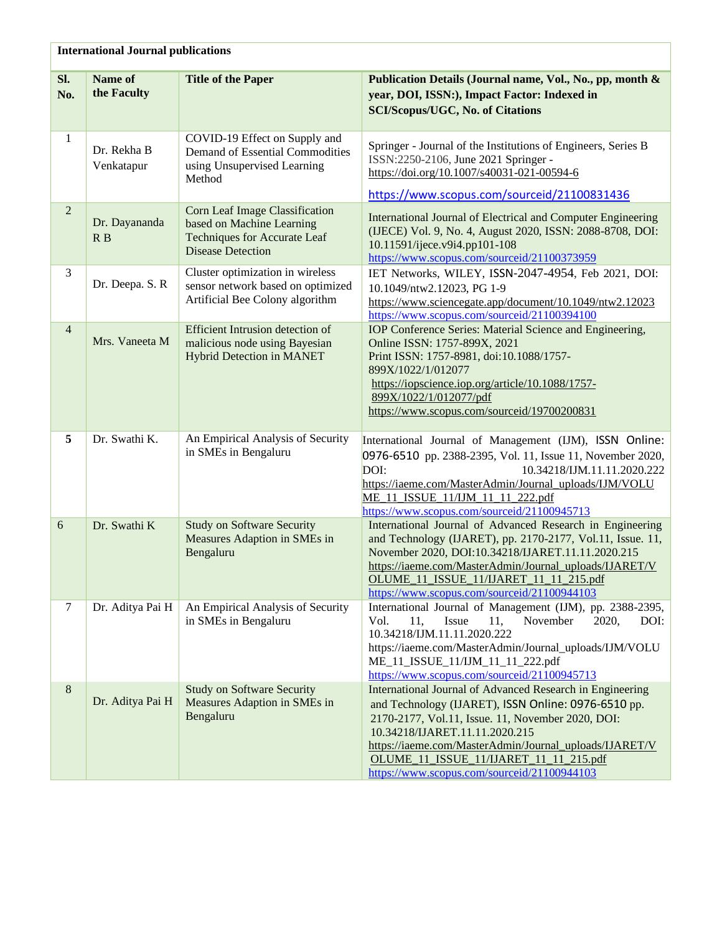|                | <b>International Journal publications</b> |                                                                                                                                |                                                                                                                                                                                                                                                                                                                                                            |  |
|----------------|-------------------------------------------|--------------------------------------------------------------------------------------------------------------------------------|------------------------------------------------------------------------------------------------------------------------------------------------------------------------------------------------------------------------------------------------------------------------------------------------------------------------------------------------------------|--|
| SI.<br>No.     | Name of<br>the Faculty                    | <b>Title of the Paper</b>                                                                                                      | Publication Details (Journal name, Vol., No., pp, month &<br>year, DOI, ISSN:), Impact Factor: Indexed in<br><b>SCI/Scopus/UGC, No. of Citations</b>                                                                                                                                                                                                       |  |
| 1              | Dr. Rekha B<br>Venkatapur                 | COVID-19 Effect on Supply and<br>Demand of Essential Commodities<br>using Unsupervised Learning<br>Method                      | Springer - Journal of the Institutions of Engineers, Series B<br>ISSN:2250-2106, June 2021 Springer -<br>https://doi.org/10.1007/s40031-021-00594-6<br>https://www.scopus.com/sourceid/21100831436                                                                                                                                                         |  |
| $\overline{2}$ | Dr. Dayananda<br>R B                      | Corn Leaf Image Classification<br>based on Machine Learning<br><b>Techniques for Accurate Leaf</b><br><b>Disease Detection</b> | International Journal of Electrical and Computer Engineering<br>(IJECE) Vol. 9, No. 4, August 2020, ISSN: 2088-8708, DOI:<br>10.11591/ijece.v9i4.pp101-108<br>https://www.scopus.com/sourceid/21100373959                                                                                                                                                  |  |
| 3              | Dr. Deepa. S. R                           | Cluster optimization in wireless<br>sensor network based on optimized<br>Artificial Bee Colony algorithm                       | IET Networks, WILEY, ISSN-2047-4954, Feb 2021, DOI:<br>10.1049/ntw2.12023, PG 1-9<br>https://www.sciencegate.app/document/10.1049/ntw2.12023<br>https://www.scopus.com/sourceid/21100394100                                                                                                                                                                |  |
| $\overline{4}$ | Mrs. Vaneeta M                            | <b>Efficient Intrusion detection of</b><br>malicious node using Bayesian<br><b>Hybrid Detection in MANET</b>                   | IOP Conference Series: Material Science and Engineering,<br>Online ISSN: 1757-899X, 2021<br>Print ISSN: 1757-8981, doi:10.1088/1757-<br>899X/1022/1/012077<br>https://iopscience.iop.org/article/10.1088/1757-<br>899X/1022/1/012077/pdf<br>https://www.scopus.com/sourceid/19700200831                                                                    |  |
| 5              | Dr. Swathi K.                             | An Empirical Analysis of Security<br>in SMEs in Bengaluru                                                                      | International Journal of Management (IJM), ISSN Online:<br>0976-6510 pp. 2388-2395, Vol. 11, Issue 11, November 2020,<br>DOI:<br>10.34218/IJM.11.11.2020.222<br>https://iaeme.com/MasterAdmin/Journal_uploads/IJM/VOLU<br>ME 11 ISSUE 11/IJM 11 11 222.pdf<br>https://www.scopus.com/sourceid/21100945713                                                  |  |
| 6              | Dr. Swathi K                              | <b>Study on Software Security</b><br>Measures Adaption in SMEs in<br>Bengaluru                                                 | International Journal of Advanced Research in Engineering<br>and Technology (IJARET), pp. 2170-2177, Vol.11, Issue. 11,<br>November 2020, DOI:10.34218/IJARET.11.11.2020.215<br>https://iaeme.com/MasterAdmin/Journal_uploads/IJARET/V<br>OLUME 11 ISSUE 11/IJARET 11 11 215.pdf<br>https://www.scopus.com/sourceid/21100944103                            |  |
| $\tau$         | Dr. Aditya Pai H                          | An Empirical Analysis of Security<br>in SMEs in Bengaluru                                                                      | International Journal of Management (IJM), pp. 2388-2395,<br>Vol.<br>Issue<br>November<br>11,<br>11,<br>2020,<br>DOI:<br>10.34218/IJM.11.11.2020.222<br>https://iaeme.com/MasterAdmin/Journal_uploads/IJM/VOLU<br>ME_11_ISSUE_11/IJM_11_11_222.pdf<br>https://www.scopus.com/sourceid/21100945713                                                          |  |
| $8\,$          | Dr. Aditya Pai H                          | <b>Study on Software Security</b><br>Measures Adaption in SMEs in<br>Bengaluru                                                 | International Journal of Advanced Research in Engineering<br>and Technology (IJARET), ISSN Online: 0976-6510 pp.<br>2170-2177, Vol.11, Issue. 11, November 2020, DOI:<br>10.34218/IJARET.11.11.2020.215<br>https://iaeme.com/MasterAdmin/Journal_uploads/IJARET/V<br>OLUME 11 ISSUE 11/IJARET 11 11 215.pdf<br>https://www.scopus.com/sourceid/21100944103 |  |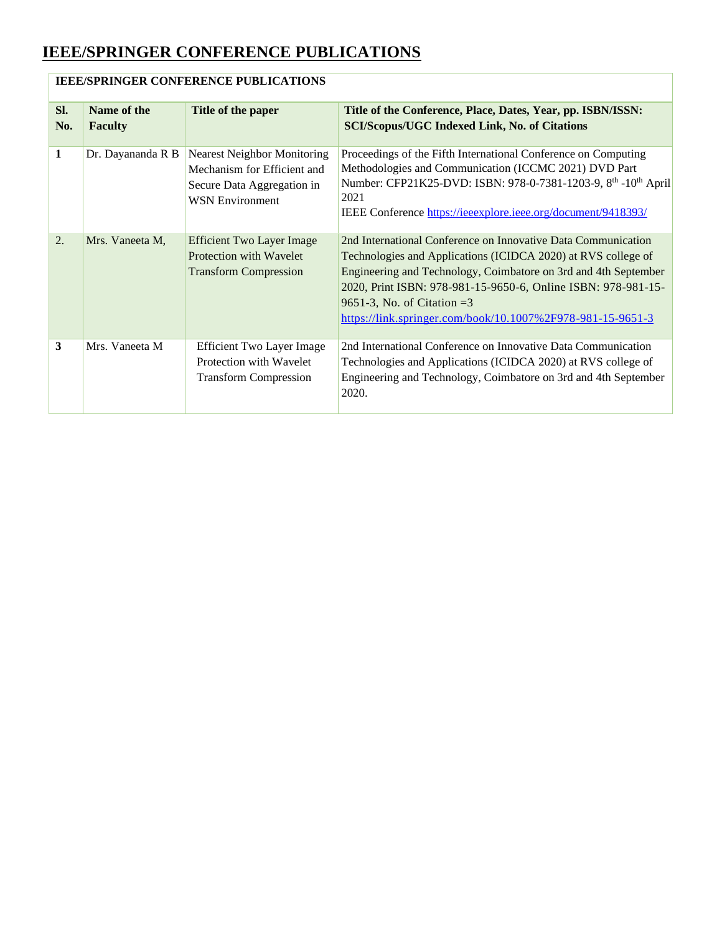|              | <b>IEEE/SPRINGER CONFERENCE PUBLICATIONS</b> |                                                                                                                           |                                                                                                                                                                                                                                                                                                                                                                  |  |  |
|--------------|----------------------------------------------|---------------------------------------------------------------------------------------------------------------------------|------------------------------------------------------------------------------------------------------------------------------------------------------------------------------------------------------------------------------------------------------------------------------------------------------------------------------------------------------------------|--|--|
| SI.<br>No.   | Name of the<br><b>Faculty</b>                | Title of the paper                                                                                                        | Title of the Conference, Place, Dates, Year, pp. ISBN/ISSN:<br><b>SCI/Scopus/UGC Indexed Link, No. of Citations</b>                                                                                                                                                                                                                                              |  |  |
| $\mathbf{1}$ | Dr. Dayananda R B                            | <b>Nearest Neighbor Monitoring</b><br>Mechanism for Efficient and<br>Secure Data Aggregation in<br><b>WSN Environment</b> | Proceedings of the Fifth International Conference on Computing<br>Methodologies and Communication (ICCMC 2021) DVD Part<br>Number: CFP21K25-DVD: ISBN: 978-0-7381-1203-9, 8 <sup>th</sup> -10 <sup>th</sup> April<br>2021<br>IEEE Conference https://ieeexplore.ieee.org/document/9418393/                                                                       |  |  |
| 2.           | Mrs. Vaneeta M,                              | <b>Efficient Two Layer Image</b><br>Protection with Wavelet<br><b>Transform Compression</b>                               | 2nd International Conference on Innovative Data Communication<br>Technologies and Applications (ICIDCA 2020) at RVS college of<br>Engineering and Technology, Coimbatore on 3rd and 4th September<br>2020, Print ISBN: 978-981-15-9650-6, Online ISBN: 978-981-15-<br>9651-3, No. of Citation $=3$<br>https://link.springer.com/book/10.1007%2F978-981-15-9651-3 |  |  |
| 3            | Mrs. Vaneeta M                               | <b>Efficient Two Layer Image</b><br>Protection with Wavelet<br><b>Transform Compression</b>                               | 2nd International Conference on Innovative Data Communication<br>Technologies and Applications (ICIDCA 2020) at RVS college of<br>Engineering and Technology, Coimbatore on 3rd and 4th September<br>2020.                                                                                                                                                       |  |  |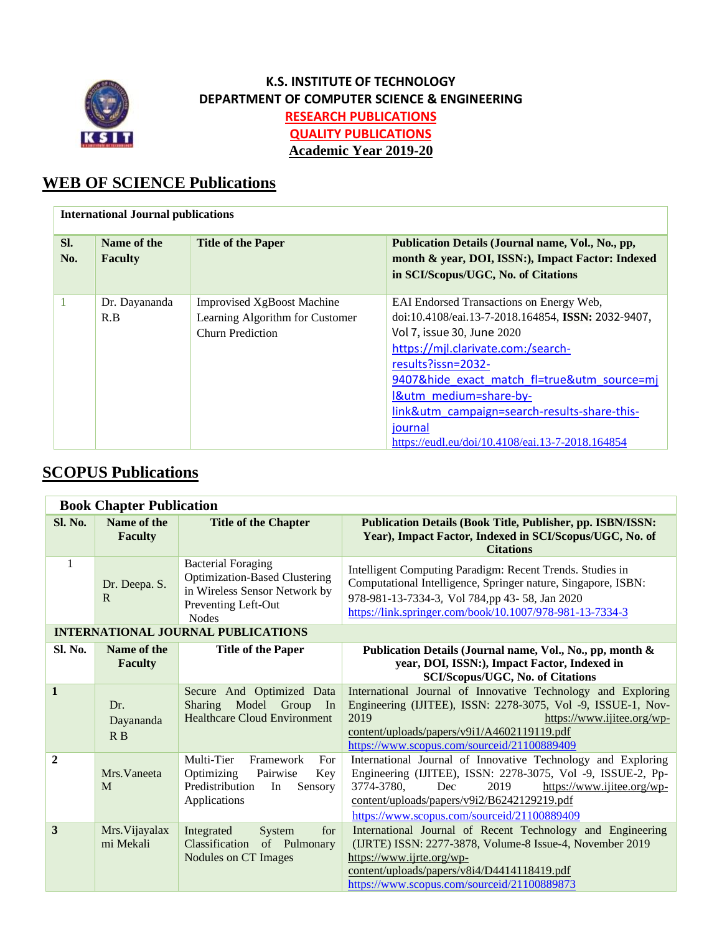

## **K.S. INSTITUTE OF TECHNOLOGY DEPARTMENT OF COMPUTER SCIENCE & ENGINEERING RESEARCH PUBLICATIONS QUALITY PUBLICATIONS Academic Year 2019-20**

# **WEB OF SCIENCE Publications**

|            | <b>International Journal publications</b> |                                                                                                 |                                                                                                                                                                                                                                                                                                                                                                                  |  |  |
|------------|-------------------------------------------|-------------------------------------------------------------------------------------------------|----------------------------------------------------------------------------------------------------------------------------------------------------------------------------------------------------------------------------------------------------------------------------------------------------------------------------------------------------------------------------------|--|--|
| SI.<br>No. | Name of the<br><b>Faculty</b>             | <b>Title of the Paper</b>                                                                       | Publication Details (Journal name, Vol., No., pp,<br>month & year, DOI, ISSN:), Impact Factor: Indexed<br>in SCI/Scopus/UGC, No. of Citations                                                                                                                                                                                                                                    |  |  |
|            | Dr. Dayananda<br>R.B                      | <b>Improvised XgBoost Machine</b><br>Learning Algorithm for Customer<br><b>Churn Prediction</b> | EAI Endorsed Transactions on Energy Web,<br>doi:10.4108/eai.13-7-2018.164854, ISSN: 2032-9407,<br>Vol 7, issue 30, June 2020<br>https://mjl.clarivate.com:/search-<br>results?issn=2032-<br>9407&hide exact match fl=true&utm source=mj<br>I&utm medium=share-by-<br>link&utm_campaign=search-results-share-this-<br>journal<br>https://eudl.eu/doi/10.4108/eai.13-7-2018.164854 |  |  |

## **SCOPUS Publications**

|                | <b>Book Chapter Publication</b> |                                                                                                                                           |                                                                                                                                                                                                                                                                                      |  |  |
|----------------|---------------------------------|-------------------------------------------------------------------------------------------------------------------------------------------|--------------------------------------------------------------------------------------------------------------------------------------------------------------------------------------------------------------------------------------------------------------------------------------|--|--|
| <b>Sl. No.</b> | Name of the<br><b>Faculty</b>   | <b>Title of the Chapter</b>                                                                                                               | <b>Publication Details (Book Title, Publisher, pp. ISBN/ISSN:</b><br>Year), Impact Factor, Indexed in SCI/Scopus/UGC, No. of<br><b>Citations</b>                                                                                                                                     |  |  |
| 1              | Dr. Deepa. S.<br>R              | <b>Bacterial Foraging</b><br><b>Optimization-Based Clustering</b><br>in Wireless Sensor Network by<br>Preventing Left-Out<br><b>Nodes</b> | Intelligent Computing Paradigm: Recent Trends. Studies in<br>Computational Intelligence, Springer nature, Singapore, ISBN:<br>978-981-13-7334-3, Vol 784,pp 43-58, Jan 2020<br>https://link.springer.com/book/10.1007/978-981-13-7334-3                                              |  |  |
|                |                                 | <b>INTERNATIONAL JOURNAL PUBLICATIONS</b>                                                                                                 |                                                                                                                                                                                                                                                                                      |  |  |
| <b>Sl. No.</b> | Name of the<br><b>Faculty</b>   | <b>Title of the Paper</b>                                                                                                                 | Publication Details (Journal name, Vol., No., pp, month &<br>year, DOI, ISSN:), Impact Factor, Indexed in<br><b>SCI/Scopus/UGC, No. of Citations</b>                                                                                                                                 |  |  |
| $\mathbf{1}$   | Dr.<br>Dayananda<br>R B         | Secure And Optimized Data<br>Model Group In<br><b>Sharing</b><br><b>Healthcare Cloud Environment</b>                                      | International Journal of Innovative Technology and Exploring<br>Engineering (IJITEE), ISSN: 2278-3075, Vol -9, ISSUE-1, Nov-<br>2019<br>https://www.ijitee.org/wp-<br>content/uploads/papers/v9i1/A4602119119.pdf<br>https://www.scopus.com/sourceid/21100889409                     |  |  |
| $\overline{2}$ | Mrs. Vaneeta<br>M               | Multi-Tier<br>Framework<br>For<br>Optimizing<br>Pairwise<br>Key<br>Predistribution<br>In<br>Sensory<br>Applications                       | International Journal of Innovative Technology and Exploring<br>Engineering (IJITEE), ISSN: 2278-3075, Vol -9, ISSUE-2, Pp-<br>3774-3780,<br>2019<br>Dec<br>https://www.ijitee.org/wp-<br>content/uploads/papers/v9i2/B6242129219.pdf<br>https://www.scopus.com/sourceid/21100889409 |  |  |
| 3              | Mrs. Vijayalax<br>mi Mekali     | Integrated<br>System<br>for<br>Classification<br>of Pulmonary<br>Nodules on CT Images                                                     | International Journal of Recent Technology and Engineering<br>(IJRTE) ISSN: 2277-3878, Volume-8 Issue-4, November 2019<br>https://www.ijrte.org/wp-<br>content/uploads/papers/v8i4/D4414118419.pdf<br>https://www.scopus.com/sourceid/21100889873                                    |  |  |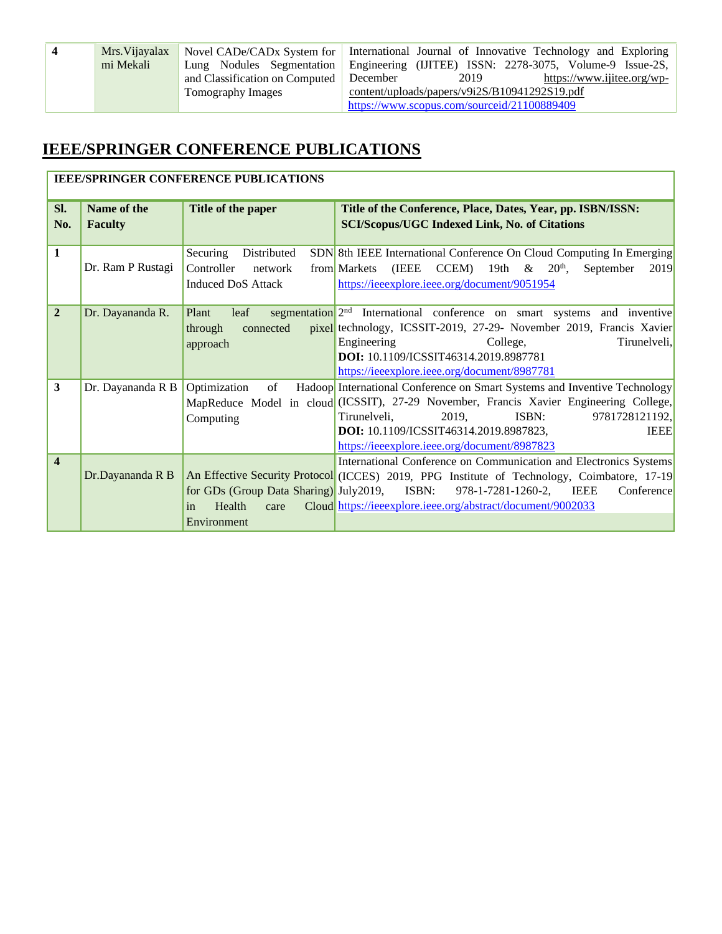| $\overline{\mathbf{4}}$ | Mrs. Vijayalax | Novel CADe/CADx System for International Journal of Innovative Technology and Exploring |                                                          |                            |  |
|-------------------------|----------------|-----------------------------------------------------------------------------------------|----------------------------------------------------------|----------------------------|--|
|                         | mi Mekali      | Lung Nodules Segmentation                                                               | Engineering (IJITEE) ISSN: 2278-3075, Volume-9 Issue-2S, |                            |  |
|                         |                | and Classification on Computed   December                                               | 2019                                                     | https://www.ijitee.org/wp- |  |
|                         |                | Tomography Images                                                                       | content/uploads/papers/v9i2S/B10941292S19.pdf            |                            |  |
|                         |                |                                                                                         | https://www.scopus.com/sourceid/21100889409              |                            |  |

|                         | <b>IEEE/SPRINGER CONFERENCE PUBLICATIONS</b> |                                                                                      |                                                                                                                                                                                                                                                                                                                                         |  |
|-------------------------|----------------------------------------------|--------------------------------------------------------------------------------------|-----------------------------------------------------------------------------------------------------------------------------------------------------------------------------------------------------------------------------------------------------------------------------------------------------------------------------------------|--|
| SI.<br>No.              | Name of the<br><b>Faculty</b>                | Title of the paper                                                                   | Title of the Conference, Place, Dates, Year, pp. ISBN/ISSN:<br><b>SCI/Scopus/UGC Indexed Link, No. of Citations</b>                                                                                                                                                                                                                     |  |
| $\mathbf{1}$            | Dr. Ram P Rustagi                            | Securing<br>Distributed<br>Controller<br>network<br><b>Induced DoS Attack</b>        | SDN 8th IEEE International Conference On Cloud Computing In Emerging<br>(IEEE<br>CCEM) 19th & $20^{\text{th}}$ ,<br>from Markets<br>September<br>2019<br>https://ieeexplore.ieee.org/document/9051954                                                                                                                                   |  |
| $\overline{2}$          | Dr. Dayananda R.                             | leaf<br>Plant<br>through<br>connected<br>approach                                    | segmentation 2 <sup>nd</sup> International conference on smart systems and inventive<br>pixel technology, ICSSIT-2019, 27-29- November 2019, Francis Xavier<br>Engineering<br>College,<br>Tirunelveli,<br>DOI: 10.1109/ICSSIT46314.2019.8987781<br>https://ieeexplore.ieee.org/document/8987781                                         |  |
| 3                       | Dr. Dayananda R B                            | Optimization<br>of<br>Computing                                                      | Hadoop International Conference on Smart Systems and Inventive Technology<br>MapReduce Model in cloud (ICSSIT), 27-29 November, Francis Xavier Engineering College,<br>ISBN:<br>9781728121192,<br>Tirunelveli,<br>2019,<br><b>DOI:</b> 10.1109/ICSSIT46314.2019.8987823,<br><b>IEEE</b><br>https://ieeexplore.ieee.org/document/8987823 |  |
| $\overline{\mathbf{4}}$ | Dr.Dayananda R B                             | for GDs (Group Data Sharing) July 2019, ISBN:<br>Health<br>care<br>in<br>Environment | International Conference on Communication and Electronics Systems<br>An Effective Security Protocol (ICCES) 2019, PPG Institute of Technology, Coimbatore, 17-19<br>IEEE<br>Conference<br>978-1-7281-1260-2,<br>Cloud https://ieeexplore.ieee.org/abstract/document/9002033                                                             |  |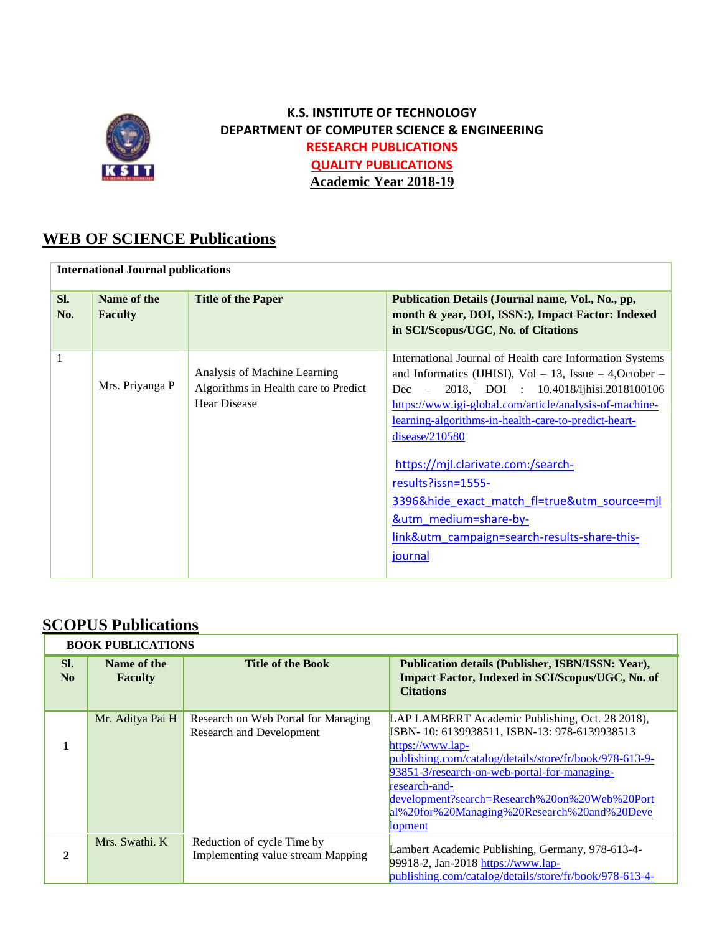

## **K.S. INSTITUTE OF TECHNOLOGY DEPARTMENT OF COMPUTER SCIENCE & ENGINEERING RESEARCH PUBLICATIONS QUALITY PUBLICATIONS Academic Year 2018-19**

## **WEB OF SCIENCE Publications**

| <b>International Journal publications</b> |                               |                                                                                             |                                                                                                                                                                                                                                                                                                                                                                                                                                                                                                                                    |  |
|-------------------------------------------|-------------------------------|---------------------------------------------------------------------------------------------|------------------------------------------------------------------------------------------------------------------------------------------------------------------------------------------------------------------------------------------------------------------------------------------------------------------------------------------------------------------------------------------------------------------------------------------------------------------------------------------------------------------------------------|--|
| SI.<br>No.                                | Name of the<br><b>Faculty</b> | <b>Title of the Paper</b>                                                                   | Publication Details (Journal name, Vol., No., pp,<br>month & year, DOI, ISSN:), Impact Factor: Indexed<br>in SCI/Scopus/UGC, No. of Citations                                                                                                                                                                                                                                                                                                                                                                                      |  |
| $\mathbf{1}$                              | Mrs. Priyanga P               | Analysis of Machine Learning<br>Algorithms in Health care to Predict<br><b>Hear Disease</b> | International Journal of Health care Information Systems<br>and Informatics (IJHISI), $Vol - 13$ , Issue $- 4$ , October $-$<br>Dec - 2018, DOI : 10.4018/ijhisi.2018100106<br>https://www.igi-global.com/article/analysis-of-machine-<br><u>learning-algorithms-in-health-care-to-predict-heart-</u><br>disease/210580<br>https://mjl.clarivate.com:/search-<br>results?issn=1555-<br>3396&hide exact match fl=true&utm source=mjl<br><b>&amp;utm_medium=share-by-</b><br>link&utm_campaign=search-results-share-this-<br>journal |  |

# **SCOPUS Publications**

| <b>BOOK PUBLICATIONS</b> |                               |                                                                 |                                                                                                                                                                                                                                                                                                                                                                   |
|--------------------------|-------------------------------|-----------------------------------------------------------------|-------------------------------------------------------------------------------------------------------------------------------------------------------------------------------------------------------------------------------------------------------------------------------------------------------------------------------------------------------------------|
| SI.<br>No                | Name of the<br><b>Faculty</b> | <b>Title of the Book</b>                                        | Publication details (Publisher, ISBN/ISSN: Year),<br>Impact Factor, Indexed in SCI/Scopus/UGC, No. of<br><b>Citations</b>                                                                                                                                                                                                                                         |
|                          | Mr. Aditya Pai H              | Research on Web Portal for Managing<br>Research and Development | LAP LAMBERT Academic Publishing, Oct. 28 2018),<br>ISBN-10: 6139938511, ISBN-13: 978-6139938513<br>https://www.lap-<br>publishing.com/catalog/details/store/fr/book/978-613-9-<br>93851-3/research-on-web-portal-for-managing-<br>research-and-<br>development?search=Research%20on%20Web%20Port<br>al%20for%20Managing%20Research%20and%20Deve<br><b>lopment</b> |
| $\mathfrak{D}$           | Mrs. Swathi, K                | Reduction of cycle Time by<br>Implementing value stream Mapping | Lambert Academic Publishing, Germany, 978-613-4-<br>99918-2, Jan-2018 https://www.lap-<br>publishing.com/catalog/details/store/fr/book/978-613-4-                                                                                                                                                                                                                 |

ī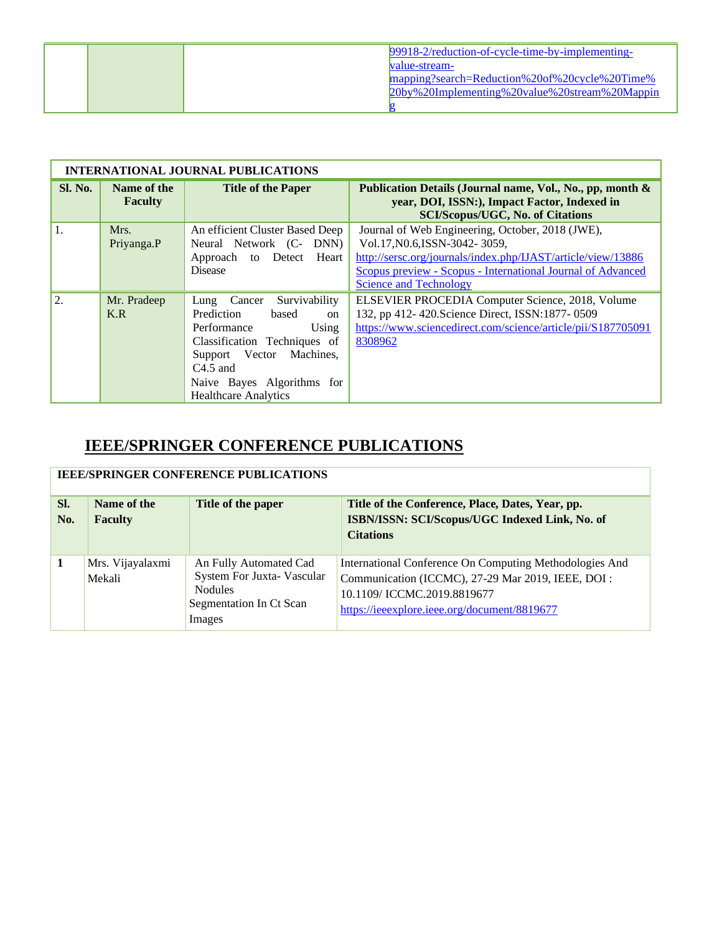|  | 99918-2/reduction-of-cycle-time-by-implementing- |
|--|--------------------------------------------------|
|  | value-stream-                                    |
|  | mapping?search=Reduction%20of%20cycle%20Time%    |
|  | 20by%20Implementing%20value%20stream%20Mappin    |
|  |                                                  |

| <b>INTERNATIONAL JOURNAL PUBLICATIONS</b> |                               |                                                                                                                                                                                                                       |                                                                                                                                                                                                                                                   |  |
|-------------------------------------------|-------------------------------|-----------------------------------------------------------------------------------------------------------------------------------------------------------------------------------------------------------------------|---------------------------------------------------------------------------------------------------------------------------------------------------------------------------------------------------------------------------------------------------|--|
| <b>Sl. No.</b>                            | Name of the<br><b>Faculty</b> | <b>Title of the Paper</b>                                                                                                                                                                                             | Publication Details (Journal name, Vol., No., pp, month &<br>year, DOI, ISSN:), Impact Factor, Indexed in<br><b>SCI/Scopus/UGC, No. of Citations</b>                                                                                              |  |
| 1.                                        | Mrs.<br>Priyanga.P            | An efficient Cluster Based Deep<br>Neural Network (C- DNN)<br>Approach to Detect Heart<br><b>Disease</b>                                                                                                              | Journal of Web Engineering, October, 2018 (JWE),<br>Vol.17, N0.6, ISSN-3042-3059,<br>http://sersc.org/journals/index.php/IJAST/article/view/13886<br>Scopus preview - Scopus - International Journal of Advanced<br><b>Science and Technology</b> |  |
| 2.                                        | Mr. Pradeep<br>K.R            | Lung Cancer Survivability<br>Prediction<br>based<br>on<br>Performance<br>Using<br>Classification Techniques of<br>Support Vector Machines,<br>$C4.5$ and<br>Naive Bayes Algorithms for<br><b>Healthcare Analytics</b> | ELSEVIER PROCEDIA Computer Science, 2018, Volume<br>132, pp 412-420. Science Direct, ISSN: 1877-0509<br>https://www.sciencedirect.com/science/article/pii/S187705091<br>8308962                                                                   |  |

| <b>IEEE/SPRINGER CONFERENCE PUBLICATIONS</b> |                               |                                   |                                                                                                    |
|----------------------------------------------|-------------------------------|-----------------------------------|----------------------------------------------------------------------------------------------------|
| SI.<br>No.                                   | Name of the<br><b>Faculty</b> | Title of the paper                | Title of the Conference, Place, Dates, Year, pp.<br>ISBN/ISSN: SCI/Scopus/UGC Indexed Link, No. of |
|                                              |                               |                                   | <b>Citations</b>                                                                                   |
| 1                                            | Mrs. Vijayalaxmi              | An Fully Automated Cad            | International Conference On Computing Methodologies And                                            |
|                                              | Mekali                        | System For Juxta- Vascular        | Communication (ICCMC), 27-29 Mar 2019, IEEE, DOI :                                                 |
|                                              |                               | <b>Nodules</b>                    | 10.1109/ICCMC.2019.8819677                                                                         |
|                                              |                               | Segmentation In Ct Scan<br>Images | https://ieeexplore.ieee.org/document/8819677                                                       |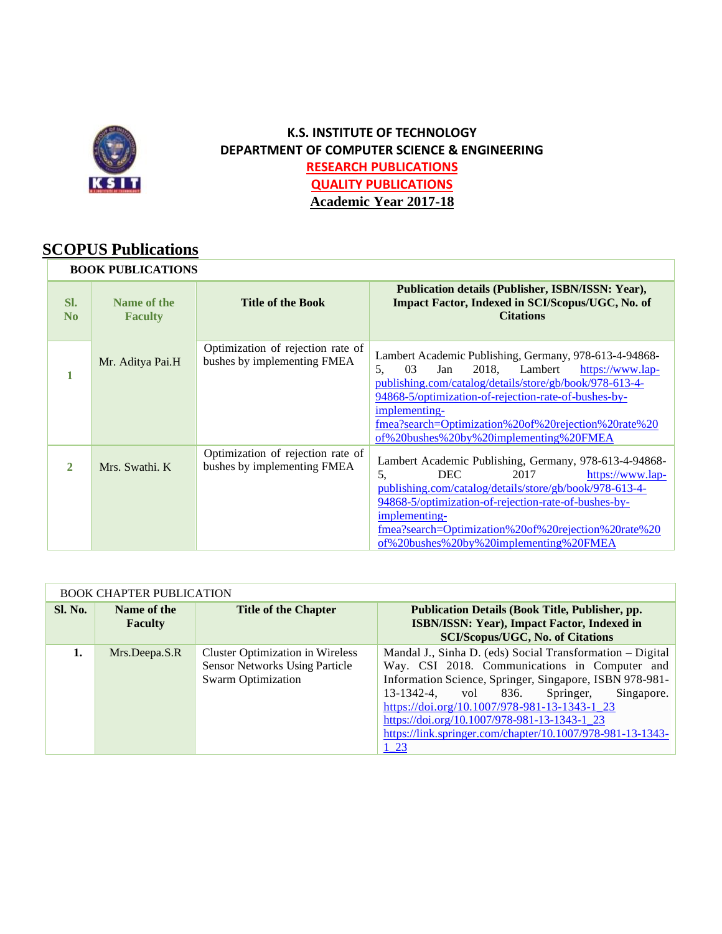

## **K.S. INSTITUTE OF TECHNOLOGY DEPARTMENT OF COMPUTER SCIENCE & ENGINEERING RESEARCH PUBLICATIONS QUALITY PUBLICATIONS Academic Year 2017-18**

# **SCOPUS Publications**

| <b>BOOK PUBLICATIONS</b> |                               |                                                                  |                                                                                                                                                                                                                                                                                                                                                     |
|--------------------------|-------------------------------|------------------------------------------------------------------|-----------------------------------------------------------------------------------------------------------------------------------------------------------------------------------------------------------------------------------------------------------------------------------------------------------------------------------------------------|
| SI.<br>N <sub>0</sub>    | Name of the<br><b>Faculty</b> | <b>Title of the Book</b>                                         | Publication details (Publisher, ISBN/ISSN: Year),<br>Impact Factor, Indexed in SCI/Scopus/UGC, No. of<br><b>Citations</b>                                                                                                                                                                                                                           |
|                          | Mr. Aditya Pai.H              | Optimization of rejection rate of<br>bushes by implementing FMEA | Lambert Academic Publishing, Germany, 978-613-4-94868-<br>2018, Lambert<br>03<br>https://www.lap-<br>Jan<br>5.<br>publishing.com/catalog/details/store/gb/book/978-613-4-<br>94868-5/optimization-of-rejection-rate-of-bushes-by-<br>implementing-<br>fmea?search=Optimization%20of%20rejection%20rate%20<br>of%20bushes%20by%20implementing%20FMEA |
| 2.                       | Mrs. Swathi, K                | Optimization of rejection rate of<br>bushes by implementing FMEA | Lambert Academic Publishing, Germany, 978-613-4-94868-<br>2017<br>5.<br>DEC.<br>https://www.lap-<br>publishing.com/catalog/details/store/gb/book/978-613-4-<br>94868-5/optimization-of-rejection-rate-of-bushes-by-<br>implementing-<br>fmea?search=Optimization%20of%20rejection%20rate%20<br>of%20bushes%20by%20implementing%20FMEA               |

| <b>BOOK CHAPTER PUBLICATION</b> |                               |                                                                                                               |                                                                                                                                                                                                                                                                                                                                                                                               |  |
|---------------------------------|-------------------------------|---------------------------------------------------------------------------------------------------------------|-----------------------------------------------------------------------------------------------------------------------------------------------------------------------------------------------------------------------------------------------------------------------------------------------------------------------------------------------------------------------------------------------|--|
| <b>Sl. No.</b>                  | Name of the<br><b>Faculty</b> | <b>Title of the Chapter</b>                                                                                   | <b>Publication Details (Book Title, Publisher, pp.</b><br>ISBN/ISSN: Year), Impact Factor, Indexed in<br><b>SCI/Scopus/UGC, No. of Citations</b>                                                                                                                                                                                                                                              |  |
| 1.                              | Mrs.Deepa.S.R                 | <b>Cluster Optimization in Wireless</b><br><b>Sensor Networks Using Particle</b><br><b>Swarm Optimization</b> | Mandal J., Sinha D. (eds) Social Transformation - Digital<br>Way. CSI 2018. Communications in Computer and<br>Information Science, Springer, Singapore, ISBN 978-981-<br>Springer,<br>13-1342-4, vol 836.<br>Singapore.<br>https://doi.org/10.1007/978-981-13-1343-1 23<br>https://doi.org/10.1007/978-981-13-1343-1 23<br>https://link.springer.com/chapter/10.1007/978-981-13-1343-<br>1 23 |  |